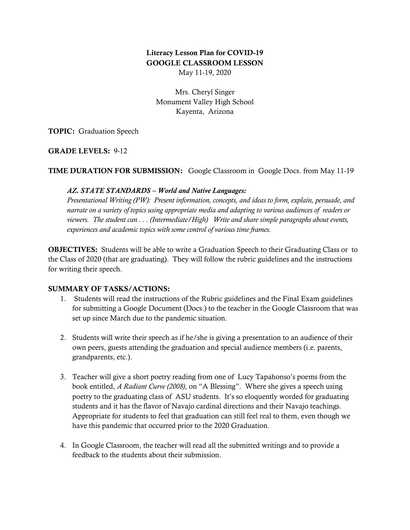# Literacy Lesson Plan for COVID-19 GOOGLE CLASSROOM LESSON May 11-19, 2020

Mrs. Cheryl Singer Monument Valley High School Kayenta, Arizona

TOPIC: Graduation Speech

GRADE LEVELS: 9-12

TIME DURATION FOR SUBMISSION: Google Classroom in Google Docs. from May 11-19

#### *AZ. STATE STANDARDS – World and Native Languages:*

*Presentational Writing (PW): Present information, concepts, and ideas to form, explain, persuade, and narrate on a variety of topics using appropriate media and adapting to various audiences of readers or viewers. The student can . . . (Intermediate/High) Write and share simple paragraphs about events, experiences and academic topics with some control of various time frames.*

**OBJECTIVES:** Students will be able to write a Graduation Speech to their Graduating Class or to the Class of 2020 (that are graduating). They will follow the rubric guidelines and the instructions for writing their speech.

## SUMMARY OF TASKS/ACTIONS:

- 1. Students will read the instructions of the Rubric guidelines and the Final Exam guidelines for submitting a Google Document (Docs.) to the teacher in the Google Classroom that was set up since March due to the pandemic situation.
- 2. Students will write their speech as if he/she is giving a presentation to an audience of their own peers, guests attending the graduation and special audience members (i.e. parents, grandparents, etc.).
- 3. Teacher will give a short poetry reading from one of Lucy Tapahonso's poems from the book entitled, *A Radiant Curve (2008)*, on "A Blessing". Where she gives a speech using poetry to the graduating class of ASU students. It's so eloquently worded for graduating students and it has the flavor of Navajo cardinal directions and their Navajo teachings. Appropriate for students to feel that graduation can still feel real to them, even though we have this pandemic that occurred prior to the 2020 Graduation.
- 4. In Google Classroom, the teacher will read all the submitted writings and to provide a feedback to the students about their submission.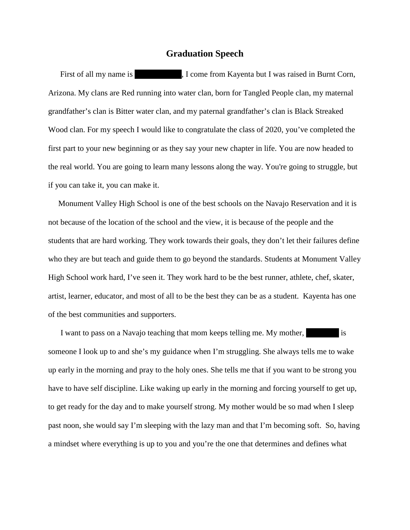### **Graduation Speech**

First of all my name is Theorem Rayenta but I was raised in Burnt Corn, Arizona. My clans are Red running into water clan, born for Tangled People clan, my maternal grandfather's clan is Bitter water clan, and my paternal grandfather's clan is Black Streaked Wood clan. For my speech I would like to congratulate the class of 2020, you've completed the first part to your new beginning or as they say your new chapter in life. You are now headed to the real world. You are going to learn many lessons along the way. You're going to struggle, but if you can take it, you can make it.

 Monument Valley High School is one of the best schools on the Navajo Reservation and it is not because of the location of the school and the view, it is because of the people and the students that are hard working. They work towards their goals, they don't let their failures define who they are but teach and guide them to go beyond the standards. Students at Monument Valley High School work hard, I've seen it. They work hard to be the best runner, athlete, chef, skater, artist, learner, educator, and most of all to be the best they can be as a student. Kayenta has one of the best communities and supporters.

I want to pass on a Navajo teaching that mom keeps telling me. My mother, is someone I look up to and she's my guidance when I'm struggling. She always tells me to wake up early in the morning and pray to the holy ones. She tells me that if you want to be strong you have to have self discipline. Like waking up early in the morning and forcing yourself to get up, to get ready for the day and to make yourself strong. My mother would be so mad when I sleep past noon, she would say I'm sleeping with the lazy man and that I'm becoming soft. So, having a mindset where everything is up to you and you're the one that determines and defines what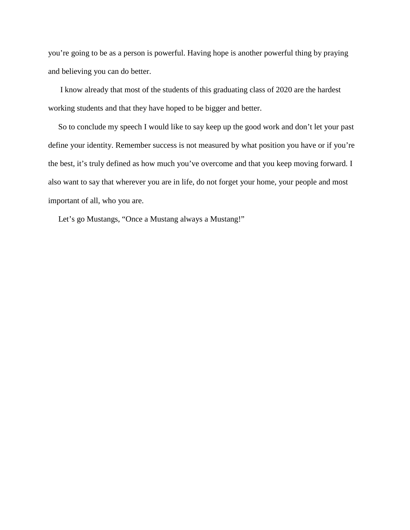you're going to be as a person is powerful. Having hope is another powerful thing by praying and believing you can do better.

 I know already that most of the students of this graduating class of 2020 are the hardest working students and that they have hoped to be bigger and better.

 So to conclude my speech I would like to say keep up the good work and don't let your past define your identity. Remember success is not measured by what position you have or if you're the best, it's truly defined as how much you've overcome and that you keep moving forward. I also want to say that wherever you are in life, do not forget your home, your people and most important of all, who you are.

Let's go Mustangs, "Once a Mustang always a Mustang!"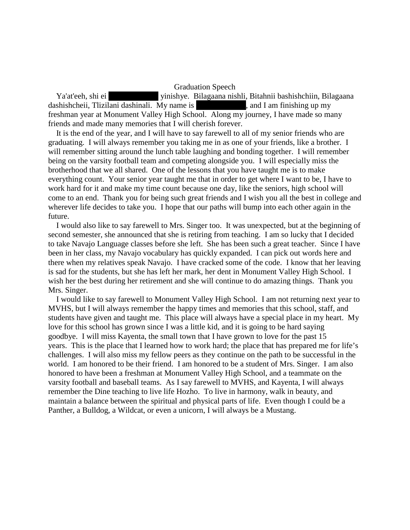Graduation Speech

Ya'at'eeh, shi ei vinishye. Bilagaana nishli, Bitahnii bashishchiin, Bilagaana dashishcheii, Tlizilani dashinali. My name is , and I am finishing up my freshman year at Monument Valley High School. Along my journey, I have made so many friends and made many memories that I will cherish forever.

 It is the end of the year, and I will have to say farewell to all of my senior friends who are graduating. I will always remember you taking me in as one of your friends, like a brother. I will remember sitting around the lunch table laughing and bonding together. I will remember being on the varsity football team and competing alongside you. I will especially miss the brotherhood that we all shared. One of the lessons that you have taught me is to make everything count. Your senior year taught me that in order to get where I want to be, I have to work hard for it and make my time count because one day, like the seniors, high school will come to an end. Thank you for being such great friends and I wish you all the best in college and wherever life decides to take you. I hope that our paths will bump into each other again in the future.

 I would also like to say farewell to Mrs. Singer too. It was unexpected, but at the beginning of second semester, she announced that she is retiring from teaching. I am so lucky that I decided to take Navajo Language classes before she left. She has been such a great teacher. Since I have been in her class, my Navajo vocabulary has quickly expanded. I can pick out words here and there when my relatives speak Navajo. I have cracked some of the code. I know that her leaving is sad for the students, but she has left her mark, her dent in Monument Valley High School. I wish her the best during her retirement and she will continue to do amazing things. Thank you Mrs. Singer.

 I would like to say farewell to Monument Valley High School. I am not returning next year to MVHS, but I will always remember the happy times and memories that this school, staff, and students have given and taught me. This place will always have a special place in my heart. My love for this school has grown since I was a little kid, and it is going to be hard saying goodbye. I will miss Kayenta, the small town that I have grown to love for the past 15 years. This is the place that I learned how to work hard; the place that has prepared me for life's challenges. I will also miss my fellow peers as they continue on the path to be successful in the world. I am honored to be their friend. I am honored to be a student of Mrs. Singer. I am also honored to have been a freshman at Monument Valley High School, and a teammate on the varsity football and baseball teams. As I say farewell to MVHS, and Kayenta, I will always remember the Dine teaching to live life Hozho. To live in harmony, walk in beauty, and maintain a balance between the spiritual and physical parts of life. Even though I could be a Panther, a Bulldog, a Wildcat, or even a unicorn, I will always be a Mustang.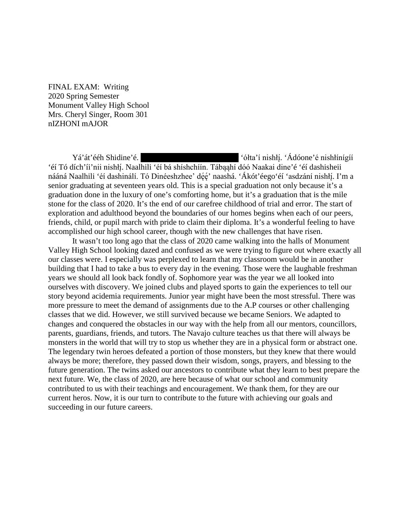FINAL EXAM: Writing 2020 Spring Semester Monument Valley High School Mrs. Cheryl Singer, Room 301 nIZHONI mAJOR

Yá'át'ééh Shidine'é. . 'Ádóone'é nishłínígíí 'éí Tó dích'íi'nii nishłį. Naalhili 'éí bá shíshchíín. Tábąąhí dóó Naakai dine'é 'éí dashisheii nááná Naalhili 'éí dashinálí. Tó Dinéeshzhee' dę́ę' naashá. 'Ákót'éego'éí 'asdzání nishłį́. I'm a senior graduating at seventeen years old. This is a special graduation not only because it's a graduation done in the luxury of one's comforting home, but it's a graduation that is the mile stone for the class of 2020. It's the end of our carefree childhood of trial and error. The start of exploration and adulthood beyond the boundaries of our homes begins when each of our peers, friends, child, or pupil march with pride to claim their diploma. It's a wonderful feeling to have accomplished our high school career, though with the new challenges that have risen.

It wasn't too long ago that the class of 2020 came walking into the halls of Monument Valley High School looking dazed and confused as we were trying to figure out where exactly all our classes were. I especially was perplexed to learn that my classroom would be in another building that I had to take a bus to every day in the evening. Those were the laughable freshman years we should all look back fondly of. Sophomore year was the year we all looked into ourselves with discovery. We joined clubs and played sports to gain the experiences to tell our story beyond acidemia requirements. Junior year might have been the most stressful. There was more pressure to meet the demand of assignments due to the A.P courses or other challenging classes that we did. However, we still survived because we became Seniors. We adapted to changes and conquered the obstacles in our way with the help from all our mentors, councillors, parents, guardians, friends, and tutors. The Navajo culture teaches us that there will always be monsters in the world that will try to stop us whether they are in a physical form or abstract one. The legendary twin heroes defeated a portion of those monsters, but they knew that there would always be more; therefore, they passed down their wisdom, songs, prayers, and blessing to the future generation. The twins asked our ancestors to contribute what they learn to best prepare the next future. We, the class of 2020, are here because of what our school and community contributed to us with their teachings and encouragement. We thank them, for they are our current heros. Now, it is our turn to contribute to the future with achieving our goals and succeeding in our future careers.